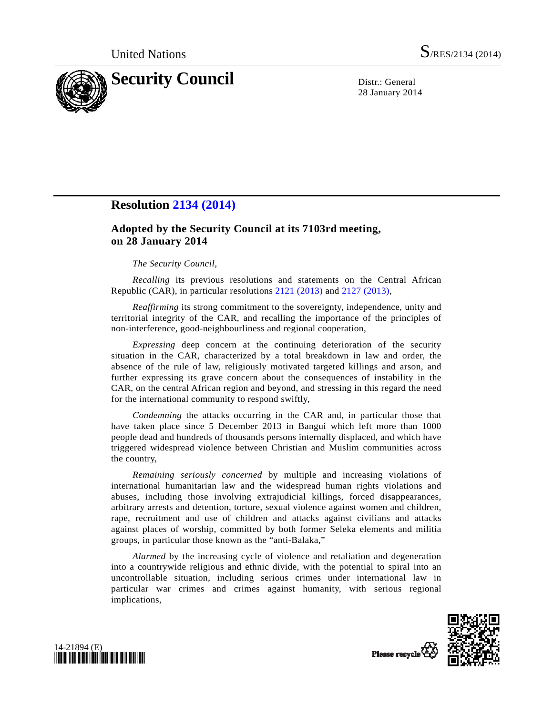

28 January 2014

# **Resolution [2134 \(2014\)](http://undocs.org/S/RES/2134(2014))**

## **Adopted by the Security Council at its 7103rd meeting, on 28 January 2014**

### *The Security Council*,

*Recalling* its previous resolutions and statements on the Central African Republic (CAR), in particular resolutions [2121 \(2013\)](http://undocs.org/S/RES/2121(2013)) and [2127 \(2013\)](http://undocs.org/S/RES/2127(2013)),

*Reaffirming* its strong commitment to the sovereignty, independence, unity and territorial integrity of the CAR, and recalling the importance of the principles of non-interference, good-neighbourliness and regional cooperation,

*Expressing* deep concern at the continuing deterioration of the security situation in the CAR, characterized by a total breakdown in law and order, the absence of the rule of law, religiously motivated targeted killings and arson, and further expressing its grave concern about the consequences of instability in the CAR, on the central African region and beyond, and stressing in this regard the need for the international community to respond swiftly,

*Condemning* the attacks occurring in the CAR and, in particular those that have taken place since 5 December 2013 in Bangui which left more than 1000 people dead and hundreds of thousands persons internally displaced, and which have triggered widespread violence between Christian and Muslim communities across the country,

*Remaining seriously concerned* by multiple and increasing violations of international humanitarian law and the widespread human rights violations and abuses, including those involving extrajudicial killings, forced disappearances, arbitrary arrests and detention, torture, sexual violence against women and children, rape, recruitment and use of children and attacks against civilians and attacks against places of worship, committed by both former Seleka elements and militia groups, in particular those known as the "anti-Balaka,"

*Alarmed* by the increasing cycle of violence and retaliation and degeneration into a countrywide religious and ethnic divide, with the potential to spiral into an uncontrollable situation, including serious crimes under international law in particular war crimes and crimes against humanity, with serious regional implications,



Please recycle

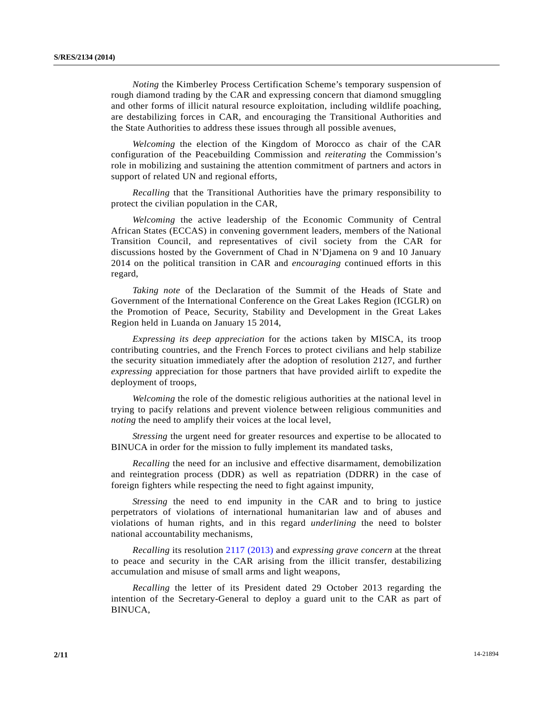*Noting* the Kimberley Process Certification Scheme's temporary suspension of rough diamond trading by the CAR and expressing concern that diamond smuggling and other forms of illicit natural resource exploitation, including wildlife poaching, are destabilizing forces in CAR, and encouraging the Transitional Authorities and the State Authorities to address these issues through all possible avenues,

*Welcoming* the election of the Kingdom of Morocco as chair of the CAR configuration of the Peacebuilding Commission and *reiterating* the Commission's role in mobilizing and sustaining the attention commitment of partners and actors in support of related UN and regional efforts,

*Recalling* that the Transitional Authorities have the primary responsibility to protect the civilian population in the CAR,

*Welcoming* the active leadership of the Economic Community of Central African States (ECCAS) in convening government leaders, members of the National Transition Council, and representatives of civil society from the CAR for discussions hosted by the Government of Chad in N'Djamena on 9 and 10 January 2014 on the political transition in CAR and *encouraging* continued efforts in this regard,

*Taking note* of the Declaration of the Summit of the Heads of State and Government of the International Conference on the Great Lakes Region (ICGLR) on the Promotion of Peace, Security, Stability and Development in the Great Lakes Region held in Luanda on January 15 2014,

*Expressing its deep appreciation* for the actions taken by MISCA, its troop contributing countries, and the French Forces to protect civilians and help stabilize the security situation immediately after the adoption of resolution 2127, and further *expressing* appreciation for those partners that have provided airlift to expedite the deployment of troops,

*Welcoming* the role of the domestic religious authorities at the national level in trying to pacify relations and prevent violence between religious communities and *noting* the need to amplify their voices at the local level,

*Stressing* the urgent need for greater resources and expertise to be allocated to BINUCA in order for the mission to fully implement its mandated tasks,

*Recalling* the need for an inclusive and effective disarmament, demobilization and reintegration process (DDR) as well as repatriation (DDRR) in the case of foreign fighters while respecting the need to fight against impunity,

*Stressing* the need to end impunity in the CAR and to bring to justice perpetrators of violations of international humanitarian law and of abuses and violations of human rights, and in this regard *underlining* the need to bolster national accountability mechanisms,

*Recalling* its resolution [2117 \(2013\)](http://undocs.org/S/RES/2117(2013)) and *expressing grave concern* at the threat to peace and security in the CAR arising from the illicit transfer, destabilizing accumulation and misuse of small arms and light weapons,

*Recalling* the letter of its President dated 29 October 2013 regarding the intention of the Secretary-General to deploy a guard unit to the CAR as part of BINUCA,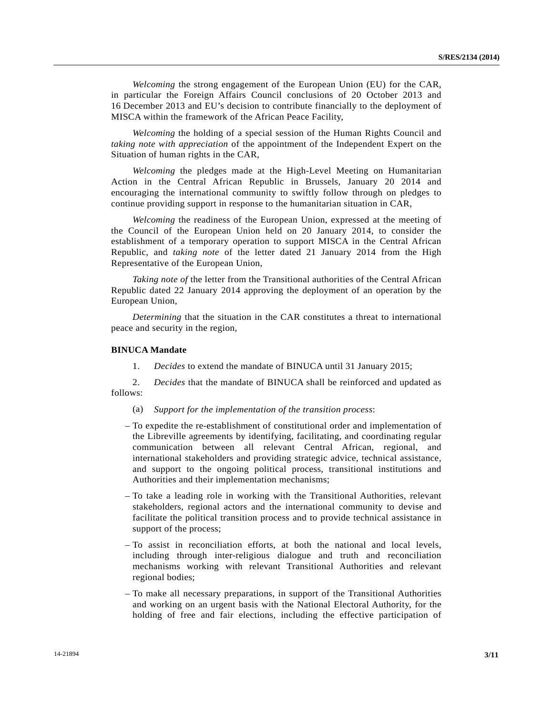*Welcoming* the strong engagement of the European Union (EU) for the CAR, in particular the Foreign Affairs Council conclusions of 20 October 2013 and 16 December 2013 and EU's decision to contribute financially to the deployment of MISCA within the framework of the African Peace Facility,

*Welcoming* the holding of a special session of the Human Rights Council and *taking note with appreciation* of the appointment of the Independent Expert on the Situation of human rights in the CAR,

*Welcoming* the pledges made at the High-Level Meeting on Humanitarian Action in the Central African Republic in Brussels, January 20 2014 and encouraging the international community to swiftly follow through on pledges to continue providing support in response to the humanitarian situation in CAR,

*Welcoming* the readiness of the European Union, expressed at the meeting of the Council of the European Union held on 20 January 2014, to consider the establishment of a temporary operation to support MISCA in the Central African Republic, and *taking note* of the letter dated 21 January 2014 from the High Representative of the European Union,

*Taking note of* the letter from the Transitional authorities of the Central African Republic dated 22 January 2014 approving the deployment of an operation by the European Union,

*Determining* that the situation in the CAR constitutes a threat to international peace and security in the region,

#### **BINUCA Mandate**

1. *Decides* to extend the mandate of BINUCA until 31 January 2015;

 2. *Decides* that the mandate of BINUCA shall be reinforced and updated as follows:

- (a) *Support for the implementation of the transition process*:
- To expedite the re-establishment of constitutional order and implementation of the Libreville agreements by identifying, facilitating, and coordinating regular communication between all relevant Central African, regional, and international stakeholders and providing strategic advice, technical assistance, and support to the ongoing political process, transitional institutions and Authorities and their implementation mechanisms;
- To take a leading role in working with the Transitional Authorities, relevant stakeholders, regional actors and the international community to devise and facilitate the political transition process and to provide technical assistance in support of the process;
- To assist in reconciliation efforts, at both the national and local levels, including through inter-religious dialogue and truth and reconciliation mechanisms working with relevant Transitional Authorities and relevant regional bodies;
- To make all necessary preparations, in support of the Transitional Authorities and working on an urgent basis with the National Electoral Authority, for the holding of free and fair elections, including the effective participation of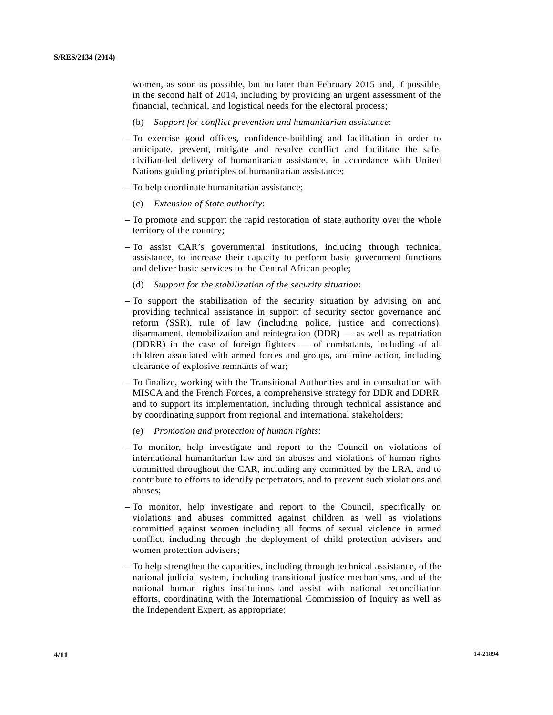women, as soon as possible, but no later than February 2015 and, if possible, in the second half of 2014, including by providing an urgent assessment of the financial, technical, and logistical needs for the electoral process;

- (b) *Support for conflict prevention and humanitarian assistance*:
- To exercise good offices, confidence-building and facilitation in order to anticipate, prevent, mitigate and resolve conflict and facilitate the safe, civilian-led delivery of humanitarian assistance, in accordance with United Nations guiding principles of humanitarian assistance;
- To help coordinate humanitarian assistance;
	- (c) *Extension of State authority*:
- To promote and support the rapid restoration of state authority over the whole territory of the country;
- To assist CAR's governmental institutions, including through technical assistance, to increase their capacity to perform basic government functions and deliver basic services to the Central African people;
	- (d) *Support for the stabilization of the security situation*:
- To support the stabilization of the security situation by advising on and providing technical assistance in support of security sector governance and reform (SSR), rule of law (including police, justice and corrections), disarmament, demobilization and reintegration (DDR) — as well as repatriation (DDRR) in the case of foreign fighters — of combatants, including of all children associated with armed forces and groups, and mine action, including clearance of explosive remnants of war;
- To finalize, working with the Transitional Authorities and in consultation with MISCA and the French Forces, a comprehensive strategy for DDR and DDRR, and to support its implementation, including through technical assistance and by coordinating support from regional and international stakeholders;
	- (e) *Promotion and protection of human rights*:
- To monitor, help investigate and report to the Council on violations of international humanitarian law and on abuses and violations of human rights committed throughout the CAR, including any committed by the LRA, and to contribute to efforts to identify perpetrators, and to prevent such violations and abuses;
- To monitor, help investigate and report to the Council, specifically on violations and abuses committed against children as well as violations committed against women including all forms of sexual violence in armed conflict, including through the deployment of child protection advisers and women protection advisers;
- To help strengthen the capacities, including through technical assistance, of the national judicial system, including transitional justice mechanisms, and of the national human rights institutions and assist with national reconciliation efforts, coordinating with the International Commission of Inquiry as well as the Independent Expert, as appropriate;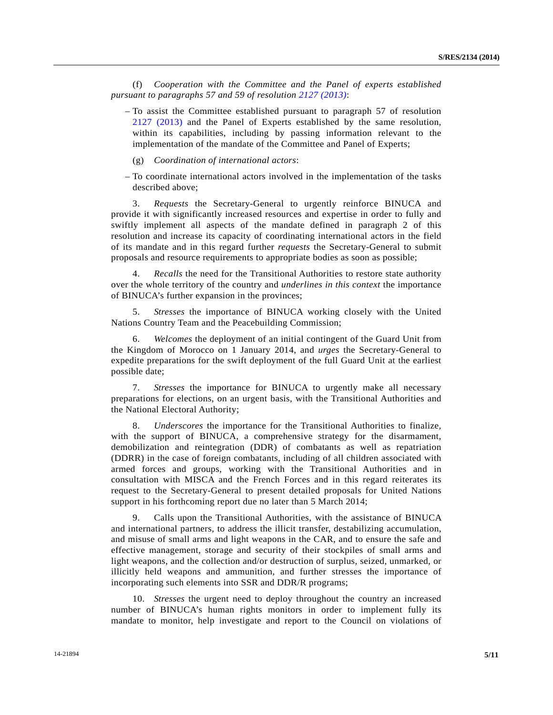(f) *Cooperation with the Committee and the Panel of experts established pursuant to paragraphs 57 and 59 of resolution [2127 \(2013\)](http://undocs.org/S/RES/2127(2013))*:

 – To assist the Committee established pursuant to paragraph 57 of resolution [2127 \(2013\)](http://undocs.org/S/RES/2127(2013)) and the Panel of Experts established by the same resolution, within its capabilities, including by passing information relevant to the implementation of the mandate of the Committee and Panel of Experts;

(g) *Coordination of international actors*:

 – To coordinate international actors involved in the implementation of the tasks described above;

 3. *Requests* the Secretary-General to urgently reinforce BINUCA and provide it with significantly increased resources and expertise in order to fully and swiftly implement all aspects of the mandate defined in paragraph 2 of this resolution and increase its capacity of coordinating international actors in the field of its mandate and in this regard further *requests* the Secretary-General to submit proposals and resource requirements to appropriate bodies as soon as possible;

 4. *Recalls* the need for the Transitional Authorities to restore state authority over the whole territory of the country and *underlines in this context* the importance of BINUCA's further expansion in the provinces;

 5. *Stresses* the importance of BINUCA working closely with the United Nations Country Team and the Peacebuilding Commission;

 6. *Welcomes* the deployment of an initial contingent of the Guard Unit from the Kingdom of Morocco on 1 January 2014, and *urges* the Secretary-General to expedite preparations for the swift deployment of the full Guard Unit at the earliest possible date;

 7. *Stresses* the importance for BINUCA to urgently make all necessary preparations for elections, on an urgent basis, with the Transitional Authorities and the National Electoral Authority;

 8. *Underscores* the importance for the Transitional Authorities to finalize, with the support of BINUCA, a comprehensive strategy for the disarmament, demobilization and reintegration (DDR) of combatants as well as repatriation (DDRR) in the case of foreign combatants, including of all children associated with armed forces and groups, working with the Transitional Authorities and in consultation with MISCA and the French Forces and in this regard reiterates its request to the Secretary-General to present detailed proposals for United Nations support in his forthcoming report due no later than 5 March 2014;

 9. Calls upon the Transitional Authorities, with the assistance of BINUCA and international partners, to address the illicit transfer, destabilizing accumulation, and misuse of small arms and light weapons in the CAR, and to ensure the safe and effective management, storage and security of their stockpiles of small arms and light weapons, and the collection and/or destruction of surplus, seized, unmarked, or illicitly held weapons and ammunition, and further stresses the importance of incorporating such elements into SSR and DDR/R programs;

 10. *Stresses* the urgent need to deploy throughout the country an increased number of BINUCA's human rights monitors in order to implement fully its mandate to monitor, help investigate and report to the Council on violations of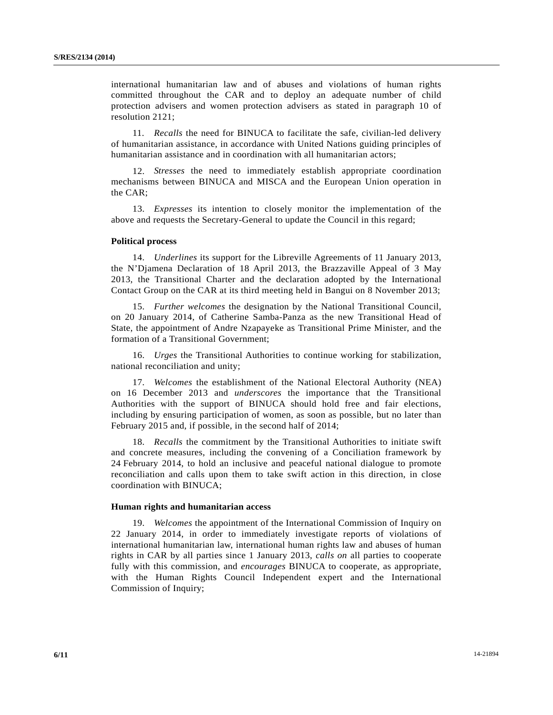international humanitarian law and of abuses and violations of human rights committed throughout the CAR and to deploy an adequate number of child protection advisers and women protection advisers as stated in paragraph 10 of resolution 2121;

 11. *Recalls* the need for BINUCA to facilitate the safe, civilian-led delivery of humanitarian assistance, in accordance with United Nations guiding principles of humanitarian assistance and in coordination with all humanitarian actors;

 12. *Stresses* the need to immediately establish appropriate coordination mechanisms between BINUCA and MISCA and the European Union operation in the CAR;

 13. *Expresses* its intention to closely monitor the implementation of the above and requests the Secretary-General to update the Council in this regard;

#### **Political process**

 14. *Underlines* its support for the Libreville Agreements of 11 January 2013, the N'Djamena Declaration of 18 April 2013, the Brazzaville Appeal of 3 May 2013, the Transitional Charter and the declaration adopted by the International Contact Group on the CAR at its third meeting held in Bangui on 8 November 2013;

 15. *Further welcomes* the designation by the National Transitional Council, on 20 January 2014, of Catherine Samba-Panza as the new Transitional Head of State, the appointment of Andre Nzapayeke as Transitional Prime Minister, and the formation of a Transitional Government;

 16. *Urges* the Transitional Authorities to continue working for stabilization, national reconciliation and unity;

 17. *Welcomes* the establishment of the National Electoral Authority (NEA) on 16 December 2013 and *underscores* the importance that the Transitional Authorities with the support of BINUCA should hold free and fair elections, including by ensuring participation of women, as soon as possible, but no later than February 2015 and, if possible, in the second half of 2014;

 18. *Recalls* the commitment by the Transitional Authorities to initiate swift and concrete measures, including the convening of a Conciliation framework by 24 February 2014, to hold an inclusive and peaceful national dialogue to promote reconciliation and calls upon them to take swift action in this direction, in close coordination with BINUCA;

#### **Human rights and humanitarian access**

 19. *Welcomes* the appointment of the International Commission of Inquiry on 22 January 2014, in order to immediately investigate reports of violations of international humanitarian law, international human rights law and abuses of human rights in CAR by all parties since 1 January 2013, *calls on* all parties to cooperate fully with this commission, and *encourages* BINUCA to cooperate, as appropriate, with the Human Rights Council Independent expert and the International Commission of Inquiry;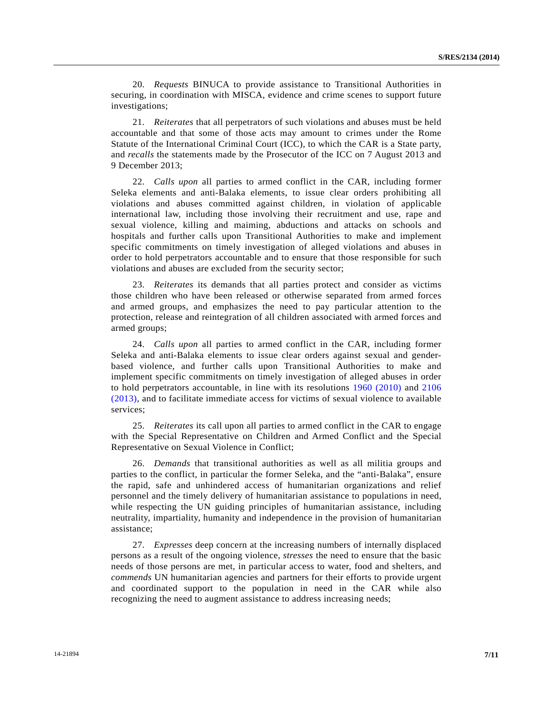20. *Requests* BINUCA to provide assistance to Transitional Authorities in securing, in coordination with MISCA, evidence and crime scenes to support future investigations;

 21. *Reiterates* that all perpetrators of such violations and abuses must be held accountable and that some of those acts may amount to crimes under the Rome Statute of the International Criminal Court (ICC), to which the CAR is a State party, and *recalls* the statements made by the Prosecutor of the ICC on 7 August 2013 and 9 December 2013;

 22. *Calls upon* all parties to armed conflict in the CAR, including former Seleka elements and anti-Balaka elements, to issue clear orders prohibiting all violations and abuses committed against children, in violation of applicable international law, including those involving their recruitment and use, rape and sexual violence, killing and maiming, abductions and attacks on schools and hospitals and further calls upon Transitional Authorities to make and implement specific commitments on timely investigation of alleged violations and abuses in order to hold perpetrators accountable and to ensure that those responsible for such violations and abuses are excluded from the security sector;

 23. *Reiterates* its demands that all parties protect and consider as victims those children who have been released or otherwise separated from armed forces and armed groups, and emphasizes the need to pay particular attention to the protection, release and reintegration of all children associated with armed forces and armed groups;

 24. *Calls upon* all parties to armed conflict in the CAR, including former Seleka and anti-Balaka elements to issue clear orders against sexual and genderbased violence, and further calls upon Transitional Authorities to make and implement specific commitments on timely investigation of alleged abuses in order to hold perpetrators accountable, in line with its resolutions [1960 \(2010\)](http://undocs.org/S/RES/1960(2010)) and [2106](http://undocs.org/S/RES/2106(2013))  [\(2013\),](http://undocs.org/S/RES/2106(2013)) and to facilitate immediate access for victims of sexual violence to available services;

 25. *Reiterates* its call upon all parties to armed conflict in the CAR to engage with the Special Representative on Children and Armed Conflict and the Special Representative on Sexual Violence in Conflict;

 26. *Demands* that transitional authorities as well as all militia groups and parties to the conflict, in particular the former Seleka, and the "anti-Balaka", ensure the rapid, safe and unhindered access of humanitarian organizations and relief personnel and the timely delivery of humanitarian assistance to populations in need, while respecting the UN guiding principles of humanitarian assistance, including neutrality, impartiality, humanity and independence in the provision of humanitarian assistance;

 27. *Expresses* deep concern at the increasing numbers of internally displaced persons as a result of the ongoing violence, *stresses* the need to ensure that the basic needs of those persons are met, in particular access to water, food and shelters, and *commends* UN humanitarian agencies and partners for their efforts to provide urgent and coordinated support to the population in need in the CAR while also recognizing the need to augment assistance to address increasing needs;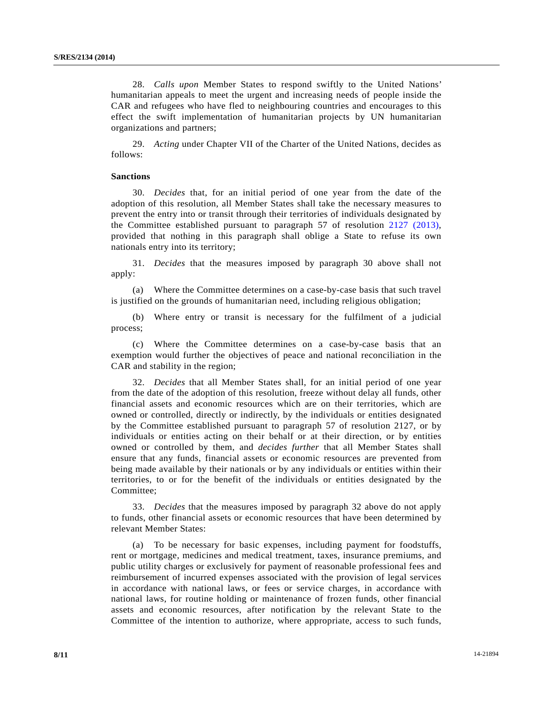28. *Calls upon* Member States to respond swiftly to the United Nations' humanitarian appeals to meet the urgent and increasing needs of people inside the CAR and refugees who have fled to neighbouring countries and encourages to this effect the swift implementation of humanitarian projects by UN humanitarian organizations and partners;

 29. *Acting* under Chapter VII of the Charter of the United Nations, decides as follows:

#### **Sanctions**

 30. *Decides* that, for an initial period of one year from the date of the adoption of this resolution, all Member States shall take the necessary measures to prevent the entry into or transit through their territories of individuals designated by the Committee established pursuant to paragraph 57 of resolution [2127 \(2013\)](http://undocs.org/S/RES/2127(2013)), provided that nothing in this paragraph shall oblige a State to refuse its own nationals entry into its territory;

 31. *Decides* that the measures imposed by paragraph 30 above shall not apply:

 (a) Where the Committee determines on a case-by-case basis that such travel is justified on the grounds of humanitarian need, including religious obligation;

 (b) Where entry or transit is necessary for the fulfilment of a judicial process;

 (c) Where the Committee determines on a case-by-case basis that an exemption would further the objectives of peace and national reconciliation in the CAR and stability in the region;

 32. *Decides* that all Member States shall, for an initial period of one year from the date of the adoption of this resolution, freeze without delay all funds, other financial assets and economic resources which are on their territories, which are owned or controlled, directly or indirectly, by the individuals or entities designated by the Committee established pursuant to paragraph 57 of resolution 2127, or by individuals or entities acting on their behalf or at their direction, or by entities owned or controlled by them, and *decides further* that all Member States shall ensure that any funds, financial assets or economic resources are prevented from being made available by their nationals or by any individuals or entities within their territories, to or for the benefit of the individuals or entities designated by the Committee;

 33. *Decides* that the measures imposed by paragraph 32 above do not apply to funds, other financial assets or economic resources that have been determined by relevant Member States:

 (a) To be necessary for basic expenses, including payment for foodstuffs, rent or mortgage, medicines and medical treatment, taxes, insurance premiums, and public utility charges or exclusively for payment of reasonable professional fees and reimbursement of incurred expenses associated with the provision of legal services in accordance with national laws, or fees or service charges, in accordance with national laws, for routine holding or maintenance of frozen funds, other financial assets and economic resources, after notification by the relevant State to the Committee of the intention to authorize, where appropriate, access to such funds,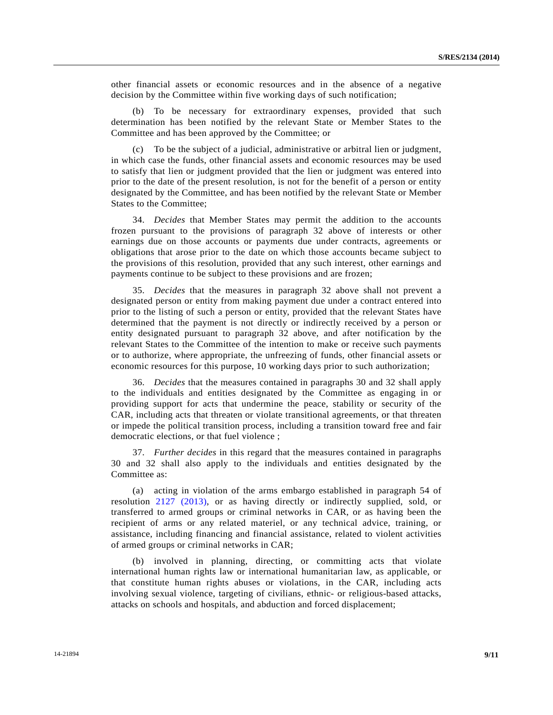other financial assets or economic resources and in the absence of a negative decision by the Committee within five working days of such notification;

 (b) To be necessary for extraordinary expenses, provided that such determination has been notified by the relevant State or Member States to the Committee and has been approved by the Committee; or

To be the subject of a judicial, administrative or arbitral lien or judgment, in which case the funds, other financial assets and economic resources may be used to satisfy that lien or judgment provided that the lien or judgment was entered into prior to the date of the present resolution, is not for the benefit of a person or entity designated by the Committee, and has been notified by the relevant State or Member States to the Committee;

 34. *Decides* that Member States may permit the addition to the accounts frozen pursuant to the provisions of paragraph 32 above of interests or other earnings due on those accounts or payments due under contracts, agreements or obligations that arose prior to the date on which those accounts became subject to the provisions of this resolution, provided that any such interest, other earnings and payments continue to be subject to these provisions and are frozen;

 35. *Decides* that the measures in paragraph 32 above shall not prevent a designated person or entity from making payment due under a contract entered into prior to the listing of such a person or entity, provided that the relevant States have determined that the payment is not directly or indirectly received by a person or entity designated pursuant to paragraph 32 above, and after notification by the relevant States to the Committee of the intention to make or receive such payments or to authorize, where appropriate, the unfreezing of funds, other financial assets or economic resources for this purpose, 10 working days prior to such authorization;

 36. *Decides* that the measures contained in paragraphs 30 and 32 shall apply to the individuals and entities designated by the Committee as engaging in or providing support for acts that undermine the peace, stability or security of the CAR, including acts that threaten or violate transitional agreements, or that threaten or impede the political transition process, including a transition toward free and fair democratic elections, or that fuel violence ;

 37. *Further decides* in this regard that the measures contained in paragraphs 30 and 32 shall also apply to the individuals and entities designated by the Committee as:

 (a) acting in violation of the arms embargo established in paragraph 54 of resolution [2127 \(2013\)](http://undocs.org/S/RES/2127(2013)), or as having directly or indirectly supplied, sold, or transferred to armed groups or criminal networks in CAR, or as having been the recipient of arms or any related materiel, or any technical advice, training, or assistance, including financing and financial assistance, related to violent activities of armed groups or criminal networks in CAR;

 (b) involved in planning, directing, or committing acts that violate international human rights law or international humanitarian law, as applicable, or that constitute human rights abuses or violations, in the CAR, including acts involving sexual violence, targeting of civilians, ethnic- or religious-based attacks, attacks on schools and hospitals, and abduction and forced displacement;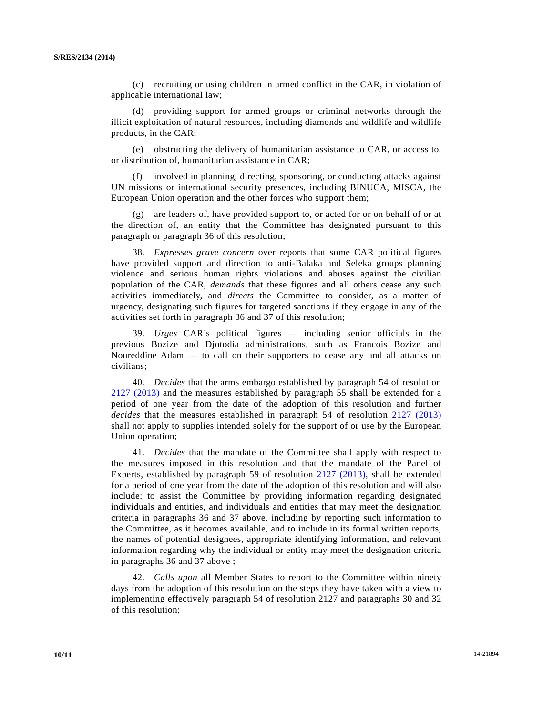(c) recruiting or using children in armed conflict in the CAR, in violation of applicable international law;

 (d) providing support for armed groups or criminal networks through the illicit exploitation of natural resources, including diamonds and wildlife and wildlife products, in the CAR;

 (e) obstructing the delivery of humanitarian assistance to CAR, or access to, or distribution of, humanitarian assistance in CAR;

 (f) involved in planning, directing, sponsoring, or conducting attacks against UN missions or international security presences, including BINUCA, MISCA, the European Union operation and the other forces who support them;

 (g) are leaders of, have provided support to, or acted for or on behalf of or at the direction of, an entity that the Committee has designated pursuant to this paragraph or paragraph 36 of this resolution;

 38. *Expresses grave concern* over reports that some CAR political figures have provided support and direction to anti-Balaka and Seleka groups planning violence and serious human rights violations and abuses against the civilian population of the CAR, *demands* that these figures and all others cease any such activities immediately, and *directs* the Committee to consider, as a matter of urgency, designating such figures for targeted sanctions if they engage in any of the activities set forth in paragraph 36 and 37 of this resolution;

 39. *Urges* CAR's political figures — including senior officials in the previous Bozize and Djotodia administrations, such as Francois Bozize and Noureddine Adam — to call on their supporters to cease any and all attacks on civilians;

 40. *Decides* that the arms embargo established by paragraph 54 of resolution [2127 \(2013\)](http://undocs.org/S/RES/2127(2013)) and the measures established by paragraph 55 shall be extended for a period of one year from the date of the adoption of this resolution and further *decides* that the measures established in paragraph 54 of resolution [2127 \(2013\)](http://undocs.org/S/RES/2127(2013)) shall not apply to supplies intended solely for the support of or use by the European Union operation;

 41. *Decides* that the mandate of the Committee shall apply with respect to the measures imposed in this resolution and that the mandate of the Panel of Experts, established by paragraph 59 of resolution [2127 \(2013\),](http://undocs.org/S/RES/2127(2013)) shall be extended for a period of one year from the date of the adoption of this resolution and will also include: to assist the Committee by providing information regarding designated individuals and entities, and individuals and entities that may meet the designation criteria in paragraphs 36 and 37 above, including by reporting such information to the Committee, as it becomes available, and to include in its formal written reports, the names of potential designees, appropriate identifying information, and relevant information regarding why the individual or entity may meet the designation criteria in paragraphs 36 and 37 above ;

 42. *Calls upon* all Member States to report to the Committee within ninety days from the adoption of this resolution on the steps they have taken with a view to implementing effectively paragraph 54 of resolution 2127 and paragraphs 30 and 32 of this resolution;